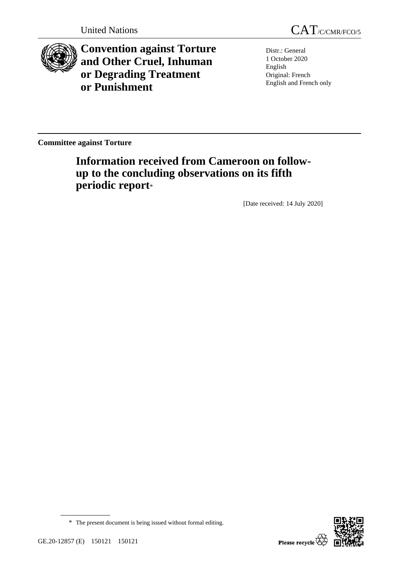

**Convention against Torture and Other Cruel, Inhuman or Degrading Treatment or Punishment**

Distr.: General 1 October 2020 English Original: French English and French only

**Committee against Torture**

# **Information received from Cameroon on followup to the concluding observations on its fifth periodic report**\*

[Date received: 14 July 2020]

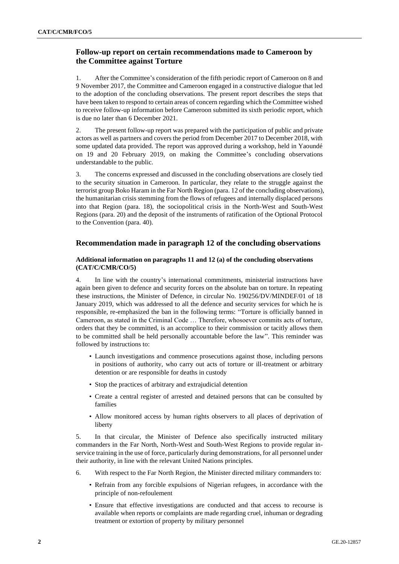# **Follow-up report on certain recommendations made to Cameroon by the Committee against Torture**

1. After the Committee's consideration of the fifth periodic report of Cameroon on 8 and 9 November 2017, the Committee and Cameroon engaged in a constructive dialogue that led to the adoption of the concluding observations. The present report describes the steps that have been taken to respond to certain areas of concern regarding which the Committee wished to receive follow-up information before Cameroon submitted its sixth periodic report, which is due no later than 6 December 2021.

2. The present follow-up report was prepared with the participation of public and private actors as well as partners and covers the period from December 2017 to December 2018, with some updated data provided. The report was approved during a workshop, held in Yaoundé on 19 and 20 February 2019, on making the Committee's concluding observations understandable to the public.

3. The concerns expressed and discussed in the concluding observations are closely tied to the security situation in Cameroon. In particular, they relate to the struggle against the terrorist group Boko Haram in the Far North Region (para. 12 of the concluding observations), the humanitarian crisis stemming from the flows of refugees and internally displaced persons into that Region (para. 18), the sociopolitical crisis in the North-West and South-West Regions (para. 20) and the deposit of the instruments of ratification of the Optional Protocol to the Convention (para. 40).

# **Recommendation made in paragraph 12 of the concluding observations**

# **Additional information on paragraphs 11 and 12 (a) of the concluding observations (CAT/C/CMR/CO/5)**

In line with the country's international commitments, ministerial instructions have again been given to defence and security forces on the absolute ban on torture. In repeating these instructions, the Minister of Defence, in circular No. 190256/DV/MINDEF/01 of 18 January 2019, which was addressed to all the defence and security services for which he is responsible, re-emphasized the ban in the following terms: "Torture is officially banned in Cameroon, as stated in the Criminal Code … Therefore, whosoever commits acts of torture, orders that they be committed, is an accomplice to their commission or tacitly allows them to be committed shall be held personally accountable before the law". This reminder was followed by instructions to:

- Launch investigations and commence prosecutions against those, including persons in positions of authority, who carry out acts of torture or ill-treatment or arbitrary detention or are responsible for deaths in custody
- Stop the practices of arbitrary and extrajudicial detention
- Create a central register of arrested and detained persons that can be consulted by families
- Allow monitored access by human rights observers to all places of deprivation of liberty

5. In that circular, the Minister of Defence also specifically instructed military commanders in the Far North, North-West and South-West Regions to provide regular inservice training in the use of force, particularly during demonstrations, for all personnel under their authority, in line with the relevant United Nations principles.

- 6. With respect to the Far North Region, the Minister directed military commanders to:
	- Refrain from any forcible expulsions of Nigerian refugees, in accordance with the principle of non-refoulement
	- Ensure that effective investigations are conducted and that access to recourse is available when reports or complaints are made regarding cruel, inhuman or degrading treatment or extortion of property by military personnel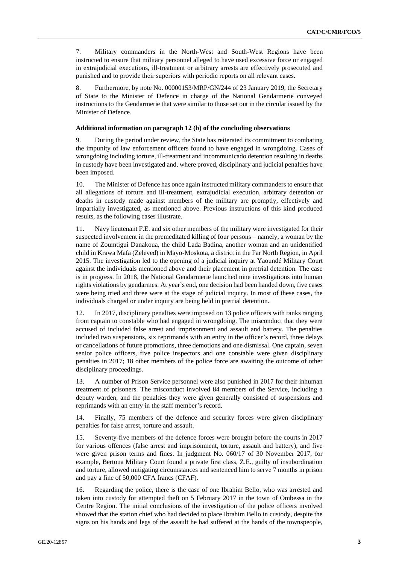7. Military commanders in the North-West and South-West Regions have been instructed to ensure that military personnel alleged to have used excessive force or engaged in extrajudicial executions, ill-treatment or arbitrary arrests are effectively prosecuted and punished and to provide their superiors with periodic reports on all relevant cases.

8. Furthermore, by note No. 00000153/MRP/GN/244 of 23 January 2019, the Secretary of State to the Minister of Defence in charge of the National Gendarmerie conveyed instructions to the Gendarmerie that were similar to those set out in the circular issued by the Minister of Defence.

# **Additional information on paragraph 12 (b) of the concluding observations**

9. During the period under review, the State has reiterated its commitment to combating the impunity of law enforcement officers found to have engaged in wrongdoing. Cases of wrongdoing including torture, ill-treatment and incommunicado detention resulting in deaths in custody have been investigated and, where proved, disciplinary and judicial penalties have been imposed.

10. The Minister of Defence has once again instructed military commanders to ensure that all allegations of torture and ill-treatment, extrajudicial execution, arbitrary detention or deaths in custody made against members of the military are promptly, effectively and impartially investigated, as mentioned above. Previous instructions of this kind produced results, as the following cases illustrate.

11. Navy lieutenant F.E. and six other members of the military were investigated for their suspected involvement in the premeditated killing of four persons – namely, a woman by the name of Zoumtigui Danakoua, the child Lada Badina, another woman and an unidentified child in Krawa Mafa (Zeleved) in Mayo-Moskota, a district in the Far North Region, in April 2015. The investigation led to the opening of a judicial inquiry at Yaoundé Military Court against the individuals mentioned above and their placement in pretrial detention. The case is in progress. In 2018, the National Gendarmerie launched nine investigations into human rights violations by gendarmes. At year's end, one decision had been handed down, five cases were being tried and three were at the stage of judicial inquiry. In most of these cases, the individuals charged or under inquiry are being held in pretrial detention.

12. In 2017, disciplinary penalties were imposed on 13 police officers with ranks ranging from captain to constable who had engaged in wrongdoing. The misconduct that they were accused of included false arrest and imprisonment and assault and battery. The penalties included two suspensions, six reprimands with an entry in the officer's record, three delays or cancellations of future promotions, three demotions and one dismissal. One captain, seven senior police officers, five police inspectors and one constable were given disciplinary penalties in 2017; 18 other members of the police force are awaiting the outcome of other disciplinary proceedings.

13. A number of Prison Service personnel were also punished in 2017 for their inhuman treatment of prisoners. The misconduct involved 84 members of the Service, including a deputy warden, and the penalties they were given generally consisted of suspensions and reprimands with an entry in the staff member's record.

14. Finally, 75 members of the defence and security forces were given disciplinary penalties for false arrest, torture and assault.

15. Seventy-five members of the defence forces were brought before the courts in 2017 for various offences (false arrest and imprisonment, torture, assault and battery), and five were given prison terms and fines. In judgment No. 060/17 of 30 November 2017, for example, Bertoua Military Court found a private first class, Z.E., guilty of insubordination and torture, allowed mitigating circumstances and sentenced him to serve 7 months in prison and pay a fine of 50,000 CFA francs (CFAF).

16. Regarding the police, there is the case of one Ibrahim Bello, who was arrested and taken into custody for attempted theft on 5 February 2017 in the town of Ombessa in the Centre Region. The initial conclusions of the investigation of the police officers involved showed that the station chief who had decided to place Ibrahim Bello in custody, despite the signs on his hands and legs of the assault he had suffered at the hands of the townspeople,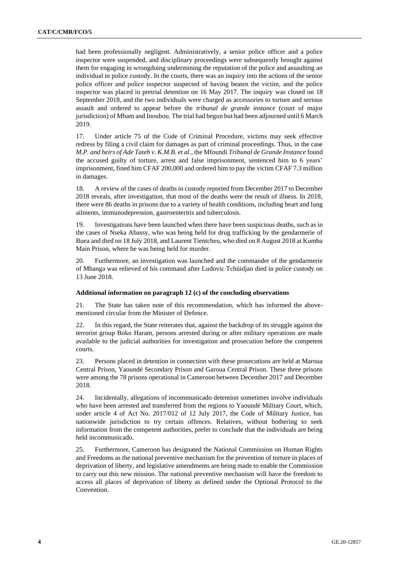had been professionally negligent. Administratively, a senior police officer and a police inspector were suspended, and disciplinary proceedings were subsequently brought against them for engaging in wrongdoing undermining the reputation of the police and assaulting an individual in police custody. In the courts, there was an inquiry into the actions of the senior police officer and police inspector suspected of having beaten the victim, and the police inspector was placed in pretrial detention on 16 May 2017. The inquiry was closed on 18 September 2018, and the two individuals were charged as accessories to torture and serious assault and ordered to appear before the *tribunal de grande instance* (court of major jurisdiction) of Mbam and Inoubou. The trial had begun but had been adjourned until 6 March 2019.

17. Under article 75 of the Code of Criminal Procedure, victims may seek effective redress by filing a civil claim for damages as part of criminal proceedings. Thus, in the case *M.P. and heirs of Ade Tateh v. K.M.B. et al*., the Mfoundi *Tribunal de Grande Instance* found the accused guilty of torture, arrest and false imprisonment, sentenced him to 6 years' imprisonment, fined him CFAF 200,000 and ordered him to pay the victim CFAF 7.3 million in damages.

18. A review of the cases of deaths in custody reported from December 2017 to December 2018 reveals, after investigation, that most of the deaths were the result of illness. In 2018, there were 86 deaths in prisons due to a variety of health conditions, including heart and lung ailments, immunodepression, gastroenteritis and tuberculosis.

19. Investigations have been launched when there have been suspicious deaths, such as in the cases of Nseka Abassy, who was being held for drug trafficking by the gendarmerie of Buea and died on 18 July 2018, and Laurent Tientcheu, who died on 8 August 2018 at Kumba Main Prison, where he was being held for murder.

20. Furthermore, an investigation was launched and the commander of the gendarmerie of Mbanga was relieved of his command after Ludovic Tchüidjan died in police custody on 13 June 2018.

#### **Additional information on paragraph 12 (c) of the concluding observations**

21. The State has taken note of this recommendation, which has informed the abovementioned circular from the Minister of Defence.

22. In this regard, the State reiterates that, against the backdrop of its struggle against the terrorist group Boko Haram, persons arrested during or after military operations are made available to the judicial authorities for investigation and prosecution before the competent courts.

23. Persons placed in detention in connection with these prosecutions are held at Maroua Central Prison, Yaoundé Secondary Prison and Garoua Central Prison. These three prisons were among the 78 prisons operational in Cameroon between December 2017 and December 2018.

24. Incidentally, allegations of incommunicado detention sometimes involve individuals who have been arrested and transferred from the regions to Yaoundé Military Court, which, under article 4 of Act No. 2017/012 of 12 July 2017, the Code of Military Justice, has nationwide jurisdiction to try certain offences. Relatives, without bothering to seek information from the competent authorities, prefer to conclude that the individuals are being held incommunicado.

25. Furthermore, Cameroon has designated the National Commission on Human Rights and Freedoms as the national preventive mechanism for the prevention of torture in places of deprivation of liberty, and legislative amendments are being made to enable the Commission to carry out this new mission. The national preventive mechanism will have the freedom to access all places of deprivation of liberty as defined under the Optional Protocol to the Convention.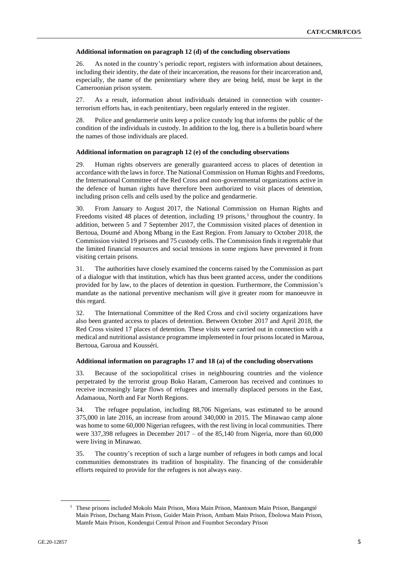## **Additional information on paragraph 12 (d) of the concluding observations**

26. As noted in the country's periodic report, registers with information about detainees, including their identity, the date of their incarceration, the reasons for their incarceration and, especially, the name of the penitentiary where they are being held, must be kept in the Cameroonian prison system.

27. As a result, information about individuals detained in connection with counterterrorism efforts has, in each penitentiary, been regularly entered in the register.

28. Police and gendarmerie units keep a police custody log that informs the public of the condition of the individuals in custody. In addition to the log, there is a bulletin board where the names of those individuals are placed.

#### **Additional information on paragraph 12 (e) of the concluding observations**

29. Human rights observers are generally guaranteed access to places of detention in accordance with the laws in force. The National Commission on Human Rights and Freedoms, the International Committee of the Red Cross and non-governmental organizations active in the defence of human rights have therefore been authorized to visit places of detention, including prison cells and cells used by the police and gendarmerie.

30. From January to August 2017, the National Commission on Human Rights and Freedoms visited 48 places of detention, including 19 prisons,<sup>1</sup> throughout the country. In addition, between 5 and 7 September 2017, the Commission visited places of detention in Bertoua, Doumé and Abong Mbang in the East Region. From January to October 2018, the Commission visited 19 prisons and 75 custody cells. The Commission finds it regrettable that the limited financial resources and social tensions in some regions have prevented it from visiting certain prisons.

31. The authorities have closely examined the concerns raised by the Commission as part of a dialogue with that institution, which has thus been granted access, under the conditions provided for by law, to the places of detention in question. Furthermore, the Commission's mandate as the national preventive mechanism will give it greater room for manoeuvre in this regard.

32. The International Committee of the Red Cross and civil society organizations have also been granted access to places of detention. Between October 2017 and April 2018, the Red Cross visited 17 places of detention. These visits were carried out in connection with a medical and nutritional assistance programme implemented in four prisons located in Maroua, Bertoua, Garoua and Kousséri.

#### **Additional information on paragraphs 17 and 18 (a) of the concluding observations**

33. Because of the sociopolitical crises in neighbouring countries and the violence perpetrated by the terrorist group Boko Haram, Cameroon has received and continues to receive increasingly large flows of refugees and internally displaced persons in the East, Adamaoua, North and Far North Regions.

34. The refugee population, including 88,706 Nigerians, was estimated to be around 375,000 in late 2016, an increase from around 340,000 in 2015. The Minawao camp alone was home to some 60,000 Nigerian refugees, with the rest living in local communities. There were  $337,398$  refugees in December  $2017 -$  of the  $85,140$  from Nigeria, more than  $60,000$ were living in Minawao.

35. The country's reception of such a large number of refugees in both camps and local communities demonstrates its tradition of hospitality. The financing of the considerable efforts required to provide for the refugees is not always easy.

 $<sup>1</sup>$  These prisons included Mokolo Main Prison, Mora Main Prison, Mantoum Main Prison, Bangangté</sup> Main Prison, Dschang Main Prison, Guider Main Prison, Ambam Main Prison, Ébolowa Main Prison, Mamfe Main Prison, Kondengui Central Prison and Foumbot Secondary Prison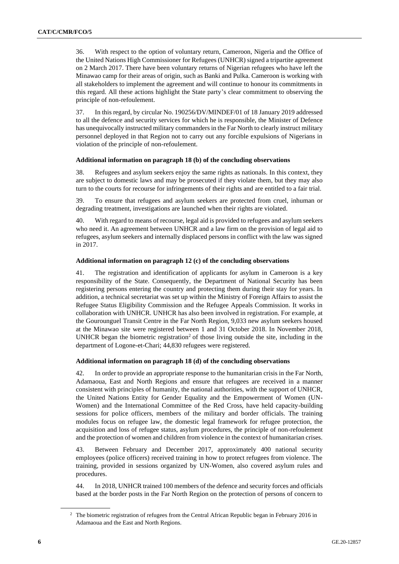36. With respect to the option of voluntary return, Cameroon, Nigeria and the Office of the United Nations High Commissioner for Refugees (UNHCR) signed a tripartite agreement on 2 March 2017. There have been voluntary returns of Nigerian refugees who have left the Minawao camp for their areas of origin, such as Banki and Pulka. Cameroon is working with all stakeholders to implement the agreement and will continue to honour its commitments in this regard. All these actions highlight the State party's clear commitment to observing the principle of non-refoulement.

37. In this regard, by circular No. 190256/DV/MINDEF/01 of 18 January 2019 addressed to all the defence and security services for which he is responsible, the Minister of Defence has unequivocally instructed military commanders in the Far North to clearly instruct military personnel deployed in that Region not to carry out any forcible expulsions of Nigerians in violation of the principle of non-refoulement.

# **Additional information on paragraph 18 (b) of the concluding observations**

38. Refugees and asylum seekers enjoy the same rights as nationals. In this context, they are subject to domestic laws and may be prosecuted if they violate them, but they may also turn to the courts for recourse for infringements of their rights and are entitled to a fair trial.

39. To ensure that refugees and asylum seekers are protected from cruel, inhuman or degrading treatment, investigations are launched when their rights are violated.

40. With regard to means of recourse, legal aid is provided to refugees and asylum seekers who need it. An agreement between UNHCR and a law firm on the provision of legal aid to refugees, asylum seekers and internally displaced persons in conflict with the law was signed in 2017.

# **Additional information on paragraph 12 (c) of the concluding observations**

41. The registration and identification of applicants for asylum in Cameroon is a key responsibility of the State. Consequently, the Department of National Security has been registering persons entering the country and protecting them during their stay for years. In addition, a technical secretariat was set up within the Ministry of Foreign Affairs to assist the Refugee Status Eligibility Commission and the Refugee Appeals Commission. It works in collaboration with UNHCR. UNHCR has also been involved in registration. For example, at the Gourounguel Transit Centre in the Far North Region, 9,033 new asylum seekers housed at the Minawao site were registered between 1 and 31 October 2018. In November 2018, UNHCR began the biometric registration<sup>2</sup> of those living outside the site, including in the department of Logone-et-Chari; 44,830 refugees were registered.

# **Additional information on paragraph 18 (d) of the concluding observations**

42. In order to provide an appropriate response to the humanitarian crisis in the Far North, Adamaoua, East and North Regions and ensure that refugees are received in a manner consistent with principles of humanity, the national authorities, with the support of UNHCR, the United Nations Entity for Gender Equality and the Empowerment of Women (UN-Women) and the International Committee of the Red Cross, have held capacity-building sessions for police officers, members of the military and border officials. The training modules focus on refugee law, the domestic legal framework for refugee protection, the acquisition and loss of refugee status, asylum procedures, the principle of non-refoulement and the protection of women and children from violence in the context of humanitarian crises.

43. Between February and December 2017, approximately 400 national security employees (police officers) received training in how to protect refugees from violence. The training, provided in sessions organized by UN-Women, also covered asylum rules and procedures.

44. In 2018, UNHCR trained 100 members of the defence and security forces and officials based at the border posts in the Far North Region on the protection of persons of concern to

<sup>&</sup>lt;sup>2</sup> The biometric registration of refugees from the Central African Republic began in February 2016 in Adamaoua and the East and North Regions.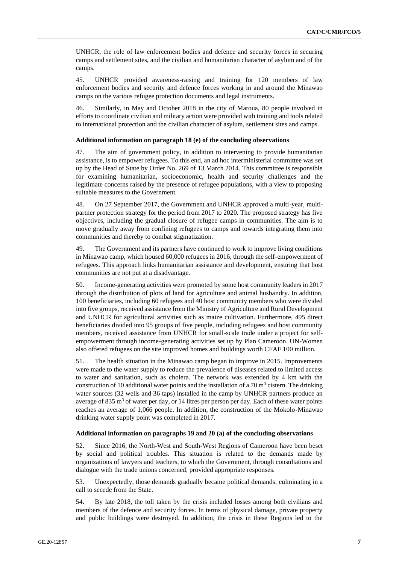UNHCR, the role of law enforcement bodies and defence and security forces in securing camps and settlement sites, and the civilian and humanitarian character of asylum and of the camps.

45. UNHCR provided awareness-raising and training for 120 members of law enforcement bodies and security and defence forces working in and around the Minawao camps on the various refugee protection documents and legal instruments.

46. Similarly, in May and October 2018 in the city of Maroua, 80 people involved in efforts to coordinate civilian and military action were provided with training and tools related to international protection and the civilian character of asylum, settlement sites and camps.

#### **Additional information on paragraph 18 (e) of the concluding observations**

47. The aim of government policy, in addition to intervening to provide humanitarian assistance, is to empower refugees. To this end, an ad hoc interministerial committee was set up by the Head of State by Order No. 269 of 13 March 2014. This committee is responsible for examining humanitarian, socioeconomic, health and security challenges and the legitimate concerns raised by the presence of refugee populations, with a view to proposing suitable measures to the Government.

48. On 27 September 2017, the Government and UNHCR approved a multi-year, multipartner protection strategy for the period from 2017 to 2020. The proposed strategy has five objectives, including the gradual closure of refugee camps in communities. The aim is to move gradually away from confining refugees to camps and towards integrating them into communities and thereby to combat stigmatization.

49. The Government and its partners have continued to work to improve living conditions in Minawao camp, which housed 60,000 refugees in 2016, through the self-empowerment of refugees. This approach links humanitarian assistance and development, ensuring that host communities are not put at a disadvantage.

50. Income-generating activities were promoted by some host community leaders in 2017 through the distribution of plots of land for agriculture and animal husbandry. In addition, 100 beneficiaries, including 60 refugees and 40 host community members who were divided into five groups, received assistance from the Ministry of Agriculture and Rural Development and UNHCR for agricultural activities such as maize cultivation. Furthermore, 495 direct beneficiaries divided into 95 groups of five people, including refugees and host community members, received assistance from UNHCR for small-scale trade under a project for selfempowerment through income-generating activities set up by Plan Cameroon. UN-Women also offered refugees on the site improved homes and buildings worth CFAF 100 million.

51. The health situation in the Minawao camp began to improve in 2015. Improvements were made to the water supply to reduce the prevalence of diseases related to limited access to water and sanitation, such as cholera. The network was extended by 4 km with the construction of 10 additional water points and the installation of a  $70 \text{ m}^3$  cistern. The drinking water sources (32 wells and 36 taps) installed in the camp by UNHCR partners produce an average of 835  $\text{m}^3$  of water per day, or 14 litres per person per day. Each of these water points reaches an average of 1,066 people. In addition, the construction of the Mokolo-Minawao drinking water supply point was completed in 2017.

## **Additional information on paragraphs 19 and 20 (a) of the concluding observations**

52. Since 2016, the North-West and South-West Regions of Cameroon have been beset by social and political troubles. This situation is related to the demands made by organizations of lawyers and teachers, to which the Government, through consultations and dialogue with the trade unions concerned, provided appropriate responses.

53. Unexpectedly, those demands gradually became political demands, culminating in a call to secede from the State.

54. By late 2018, the toll taken by the crisis included losses among both civilians and members of the defence and security forces. In terms of physical damage, private property and public buildings were destroyed. In addition, the crisis in these Regions led to the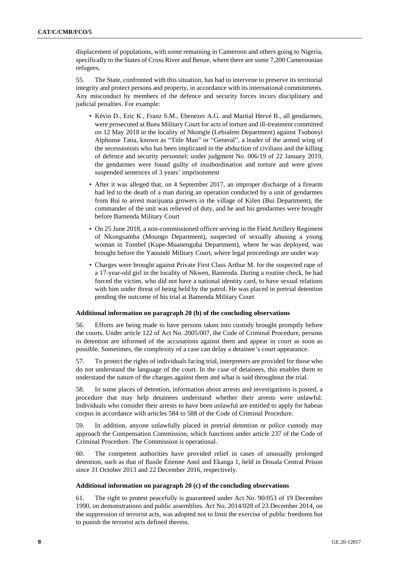displacement of populations, with some remaining in Cameroon and others going to Nigeria, specifically to the States of Cross River and Benue, where there are some 7,200 Cameroonian refugees.

55. The State, confronted with this situation, has had to intervene to preserve its territorial integrity and protect persons and property, in accordance with its international commitments. Any misconduct by members of the defence and security forces incurs disciplinary and judicial penalties. For example:

- Kévin D., Eric K., Franz S.M., Ebenezer A.G. and Martial Hervé B., all gendarmes, were prosecuted at Buea Military Court for acts of torture and ill-treatment committed on 12 May 2018 in the locality of Nkongle (Lebialem Department) against Tsobonyi Alphonse Tatia, known as "Title Man" or "General", a leader of the armed wing of the secessionists who has been implicated in the abduction of civilians and the killing of defence and security personnel; under judgment No. 006/19 of 22 January 2019, the gendarmes were found guilty of insubordination and torture and were given suspended sentences of 3 years' imprisonment
- After it was alleged that, on 4 September 2017, an improper discharge of a firearm had led to the death of a man during an operation conducted by a unit of gendarmes from Bui to arrest marijuana growers in the village of Kifen (Bui Department), the commander of the unit was relieved of duty, and he and his gendarmes were brought before Bamenda Military Court
- On 25 June 2018, a non-commissioned officer serving in the Field Artillery Regiment of Nkongsamba (Moungo Department), suspected of sexually abusing a young woman in Tombel (Kupe-Muanenguba Department), where he was deployed, was brought before the Yaoundé Military Court, where legal proceedings are under way
- Charges were brought against Private First Class Arthur M. for the suspected rape of a 17-year-old girl in the locality of Nkwen, Bamenda. During a routine check, he had forced the victim, who did not have a national identity card, to have sexual relations with him under threat of being held by the patrol. He was placed in pretrial detention pending the outcome of his trial at Bamenda Military Court

# **Additional information on paragraph 20 (b) of the concluding observations**

56. Efforts are being made to have persons taken into custody brought promptly before the courts. Under article 122 of Act No. 2005/007, the Code of Criminal Procedure, persons in detention are informed of the accusations against them and appear in court as soon as possible. Sometimes, the complexity of a case can delay a detainee's court appearance.

57. To protect the rights of individuals facing trial, interpreters are provided for those who do not understand the language of the court. In the case of detainees, this enables them to understand the nature of the charges against them and what is said throughout the trial.

58. In some places of detention, information about arrests and investigations is posted, a procedure that may help detainees understand whether their arrests were unlawful. Individuals who consider their arrests to have been unlawful are entitled to apply for habeas corpus in accordance with articles 584 to 588 of the Code of Criminal Procedure.

59. In addition, anyone unlawfully placed in pretrial detention or police custody may approach the Compensation Commission, which functions under article 237 of the Code of Criminal Procedure. The Commission is operational.

60. The competent authorities have provided relief in cases of unusually prolonged detention, such as that of Basile Étienne Anol and Ekanga 1, held in Douala Central Prison since 31 October 2013 and 22 December 2016, respectively.

## **Additional information on paragraph 20 (c) of the concluding observations**

61. The right to protest peacefully is guaranteed under Act No. 90/053 of 19 December 1990, on demonstrations and public assemblies. Act No. 2014/028 of 23 December 2014, on the suppression of terrorist acts, was adopted not to limit the exercise of public freedoms but to punish the terrorist acts defined therein.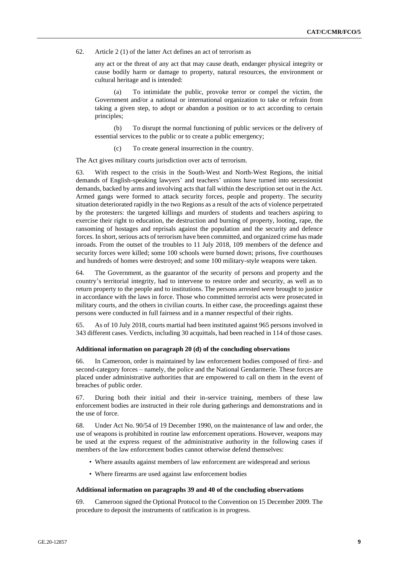62. Article 2 (1) of the latter Act defines an act of terrorism as

any act or the threat of any act that may cause death, endanger physical integrity or cause bodily harm or damage to property, natural resources, the environment or cultural heritage and is intended:

(a) To intimidate the public, provoke terror or compel the victim, the Government and/or a national or international organization to take or refrain from taking a given step, to adopt or abandon a position or to act according to certain principles;

(b) To disrupt the normal functioning of public services or the delivery of essential services to the public or to create a public emergency;

(c) To create general insurrection in the country.

The Act gives military courts jurisdiction over acts of terrorism.

63. With respect to the crisis in the South-West and North-West Regions, the initial demands of English-speaking lawyers' and teachers' unions have turned into secessionist demands, backed by arms and involving acts that fall within the description set out in the Act. Armed gangs were formed to attack security forces, people and property. The security situation deteriorated rapidly in the two Regions as a result of the acts of violence perpetrated by the protesters: the targeted killings and murders of students and teachers aspiring to exercise their right to education, the destruction and burning of property, looting, rape, the ransoming of hostages and reprisals against the population and the security and defence forces. In short, serious acts of terrorism have been committed, and organized crime has made inroads. From the outset of the troubles to 11 July 2018, 109 members of the defence and security forces were killed; some 100 schools were burned down; prisons, five courthouses and hundreds of homes were destroyed; and some 100 military-style weapons were taken.

64. The Government, as the guarantor of the security of persons and property and the country's territorial integrity, had to intervene to restore order and security, as well as to return property to the people and to institutions. The persons arrested were brought to justice in accordance with the laws in force. Those who committed terrorist acts were prosecuted in military courts, and the others in civilian courts. In either case, the proceedings against these persons were conducted in full fairness and in a manner respectful of their rights.

65. As of 10 July 2018, courts martial had been instituted against 965 persons involved in 343 different cases. Verdicts, including 30 acquittals, had been reached in 114 of those cases.

#### **Additional information on paragraph 20 (d) of the concluding observations**

66. In Cameroon, order is maintained by law enforcement bodies composed of first- and second-category forces – namely, the police and the National Gendarmerie. These forces are placed under administrative authorities that are empowered to call on them in the event of breaches of public order.

67. During both their initial and their in-service training, members of these law enforcement bodies are instructed in their role during gatherings and demonstrations and in the use of force.

68. Under Act No. 90/54 of 19 December 1990, on the maintenance of law and order, the use of weapons is prohibited in routine law enforcement operations. However, weapons may be used at the express request of the administrative authority in the following cases if members of the law enforcement bodies cannot otherwise defend themselves:

- Where assaults against members of law enforcement are widespread and serious
- Where firearms are used against law enforcement bodies

#### **Additional information on paragraphs 39 and 40 of the concluding observations**

69. Cameroon signed the Optional Protocol to the Convention on 15 December 2009. The procedure to deposit the instruments of ratification is in progress.